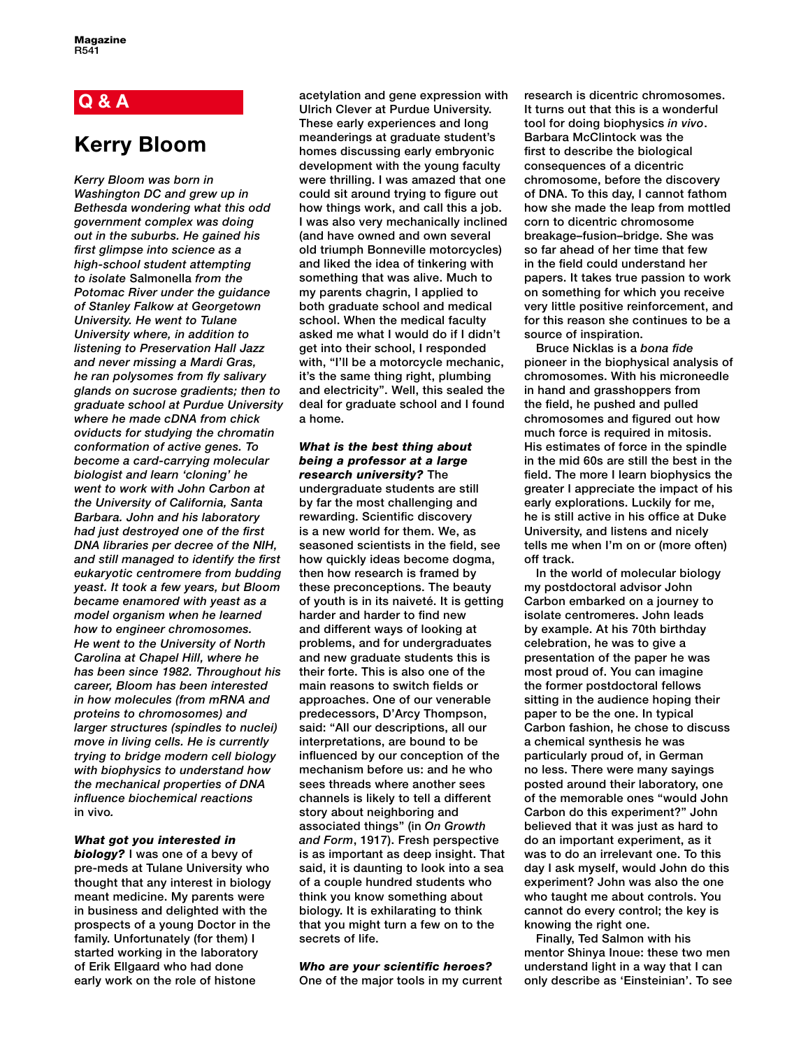# **Kerry Bloom**

*Kerry Bloom was born in Washington DC and grew up in Bethesda wondering what this odd government complex was doing out in the suburbs. He gained his first glimpse into science as a high-school student attempting to isolate* Salmonella *from the Potomac River under the guidance of Stanley Falkow at Georgetown University. He went to Tulane University where, in addition to listening to Preservation Hall Jazz and never missing a Mardi Gras, he ran polysomes from fly salivary glands on sucrose gradients; then to graduate school at Purdue University where he made cDNA from chick oviducts for studying the chromatin conformation of active genes. To become a card-carrying molecular biologist and learn 'cloning' he went to work with John Carbon at the University of California, Santa Barbara. John and his laboratory had just destroyed one of the first DNA libraries per decree of the NIH, and still managed to identify the first eukaryotic centromere from budding yeast. It took a few years, but Bloom became enamored with yeast as a model organism when he learned how to engineer chromosomes. He went to the University of North Carolina at Chapel Hill, where he has been since 1982. Throughout his career, Bloom has been interested in how molecules (from mRNA and proteins to chromosomes) and larger structures (spindles to nuclei) move in living cells. He is currently trying to bridge modern cell biology with biophysics to understand how the mechanical properties of DNA influence biochemical reactions* in vivo*.*

## *What got you interested in*

*biology?* I was one of a bevy of pre-meds at Tulane University who thought that any interest in biology meant medicine. My parents were in business and delighted with the prospects of a young Doctor in the family. Unfortunately (for them) I started working in the laboratory of Erik Ellgaard who had done early work on the role of histone

**Q & A Research is dicentric chromosomes.**<br> **C & A Research is discussion** in the search is different in the search is a supported in the search is a wonderful Ulrich Clever at Purdue University. These early experiences and long meanderings at graduate student's homes discussing early embryonic development with the young faculty were thrilling. I was amazed that one could sit around trying to figure out how things work, and call this a job. I was also very mechanically inclined (and have owned and own several old triumph Bonneville motorcycles) and liked the idea of tinkering with something that was alive. Much to my parents chagrin, I applied to both graduate school and medical school. When the medical faculty asked me what I would do if I didn't get into their school, I responded with, "I'll be a motorcycle mechanic, it's the same thing right, plumbing and electricity". Well, this sealed the deal for graduate school and I found a home.

### *What is the best thing about being a professor at a large research university?* The

undergraduate students are still by far the most challenging and rewarding. Scientific discovery is a new world for them. We, as seasoned scientists in the field, see how quickly ideas become dogma, then how research is framed by these preconceptions. The beauty of youth is in its naiveté. It is getting harder and harder to find new and different ways of looking at problems, and for undergraduates and new graduate students this is their forte. This is also one of the main reasons to switch fields or approaches. One of our venerable predecessors, D'Arcy Thompson, said: "All our descriptions, all our interpretations, are bound to be influenced by our conception of the mechanism before us: and he who sees threads where another sees channels is likely to tell a different story about neighboring and associated things" (in *On Growth and Form*, 1917). Fresh perspective is as important as deep insight. That said, it is daunting to look into a sea of a couple hundred students who think you know something about biology. It is exhilarating to think that you might turn a few on to the secrets of life.

*Who are your scientific heroes?* One of the major tools in my current It turns out that this is a wonderful tool for doing biophysics *in vivo*. Barbara McClintock was the first to describe the biological consequences of a dicentric chromosome, before the discovery of DNA. To this day, I cannot fathom how she made the leap from mottled corn to dicentric chromosome breakage–fusion–bridge. She was so far ahead of her time that few in the field could understand her papers. It takes true passion to work on something for which you receive very little positive reinforcement, and for this reason she continues to be a source of inspiration.

Bruce Nicklas is a *bona fide* pioneer in the biophysical analysis of chromosomes. With his microneedle in hand and grasshoppers from the field, he pushed and pulled chromosomes and figured out how much force is required in mitosis. His estimates of force in the spindle in the mid 60s are still the best in the field. The more I learn biophysics the greater I appreciate the impact of his early explorations. Luckily for me, he is still active in his office at Duke University, and listens and nicely tells me when I'm on or (more often) off track.

In the world of molecular biology my postdoctoral advisor John Carbon embarked on a journey to isolate centromeres. John leads by example. At his 70th birthday celebration, he was to give a presentation of the paper he was most proud of. You can imagine the former postdoctoral fellows sitting in the audience hoping their paper to be the one. In typical Carbon fashion, he chose to discuss a chemical synthesis he was particularly proud of, in German no less. There were many sayings posted around their laboratory, one of the memorable ones "would John Carbon do this experiment?" John believed that it was just as hard to do an important experiment, as it was to do an irrelevant one. To this day I ask myself, would John do this experiment? John was also the one who taught me about controls. You cannot do every control; the key is knowing the right one.

Finally, Ted Salmon with his mentor Shinya Inoue: these two men understand light in a way that I can only describe as 'Einsteinian'. To see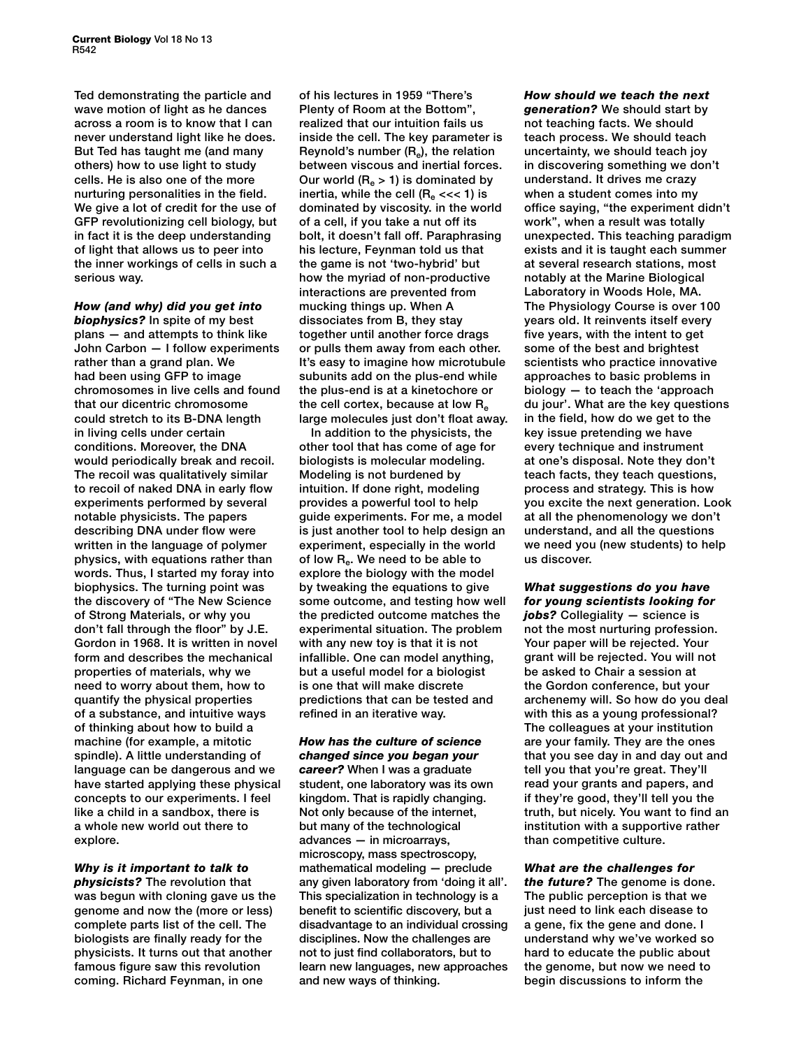Ted demonstrating the particle and wave motion of light as he dances across a room is to know that I can never understand light like he does. But Ted has taught me (and many others) how to use light to study cells. He is also one of the more nurturing personalities in the field. We give a lot of credit for the use of GFP revolutionizing cell biology, but in fact it is the deep understanding of light that allows us to peer into the inner workings of cells in such a serious way.

*How (and why) did you get into* 

*biophysics?* In spite of my best plans — and attempts to think like John Carbon — I follow experiments rather than a grand plan. We had been using GFP to image chromosomes in live cells and found that our dicentric chromosome could stretch to its B-DNA length in living cells under certain conditions. Moreover, the DNA would periodically break and recoil. The recoil was qualitatively similar to recoil of naked DNA in early flow experiments performed by several notable physicists. The papers describing DNA under flow were written in the language of polymer physics, with equations rather than words. Thus, I started my foray into biophysics. The turning point was the discovery of "The New Science of Strong Materials, or why you don't fall through the floor" by J.E. Gordon in 1968. It is written in novel form and describes the mechanical properties of materials, why we need to worry about them, how to quantify the physical properties of a substance, and intuitive ways of thinking about how to build a machine (for example, a mitotic spindle). A little understanding of language can be dangerous and we have started applying these physical concepts to our experiments. I feel like a child in a sandbox, there is a whole new world out there to explore.

*Why is it important to talk to* 

*physicists?* The revolution that was begun with cloning gave us the genome and now the (more or less) complete parts list of the cell. The biologists are finally ready for the physicists. It turns out that another famous figure saw this revolution coming. Richard Feynman, in one

of his lectures in 1959 "There's Plenty of Room at the Bottom", realized that our intuition fails us inside the cell. The key parameter is Reynold's number  $(R_e)$ , the relation between viscous and inertial forces. Our world ( $R_e > 1$ ) is dominated by inertia, while the cell  $(R_e \ll 1)$  is dominated by viscosity. in the world of a cell, if you take a nut off its bolt, it doesn't fall off. Paraphrasing his lecture, Feynman told us that the game is not 'two-hybrid' but how the myriad of non-productive interactions are prevented from mucking things up. When A dissociates from B, they stay together until another force drags or pulls them away from each other. It's easy to imagine how microtubule subunits add on the plus-end while the plus-end is at a kinetochore or the cell cortex, because at low  $R_{\rm e}$ large molecules just don't float away.

In addition to the physicists, the other tool that has come of age for biologists is molecular modeling. Modeling is not burdened by intuition. If done right, modeling provides a powerful tool to help guide experiments. For me, a model is just another tool to help design an experiment, especially in the world of low  $R_e$ . We need to be able to explore the biology with the model by tweaking the equations to give some outcome, and testing how well the predicted outcome matches the experimental situation. The problem with any new toy is that it is not infallible. One can model anything, but a useful model for a biologist is one that will make discrete predictions that can be tested and refined in an iterative way.

*How has the culture of science changed since you began your career?* When I was a graduate student, one laboratory was its own kingdom. That is rapidly changing. Not only because of the internet, but many of the technological advances — in microarrays, microscopy, mass spectroscopy, mathematical modeling — preclude any given laboratory from 'doing it all'. This specialization in technology is a benefit to scientific discovery, but a disadvantage to an individual crossing disciplines. Now the challenges are not to just find collaborators, but to learn new languages, new approaches and new ways of thinking.

*How should we teach the next generation?* We should start by not teaching facts. We should teach process. We should teach uncertainty, we should teach joy in discovering something we don't understand. It drives me crazy when a student comes into my office saying, "the experiment didn't work", when a result was totally unexpected. This teaching paradigm exists and it is taught each summer at several research stations, most notably at the Marine Biological Laboratory in Woods Hole, MA. The Physiology Course is over 100 years old. It reinvents itself every five years, with the intent to get some of the best and brightest scientists who practice innovative approaches to basic problems in biology — to teach the 'approach du jour'. What are the key questions in the field, how do we get to the key issue pretending we have every technique and instrument at one's disposal. Note they don't teach facts, they teach questions, process and strategy. This is how you excite the next generation. Look at all the phenomenology we don't understand, and all the questions we need you (new students) to help us discover.

# *What suggestions do you have for young scientists looking for*

*jobs?* Collegiality — science is not the most nurturing profession. Your paper will be rejected. Your grant will be rejected. You will not be asked to Chair a session at the Gordon conference, but your archenemy will. So how do you deal with this as a young professional? The colleagues at your institution are your family. They are the ones that you see day in and day out and tell you that you're great. They'll read your grants and papers, and if they're good, they'll tell you the truth, but nicely. You want to find an institution with a supportive rather than competitive culture.

#### *What are the challenges for*

*the future?* The genome is done. The public perception is that we just need to link each disease to a gene, fix the gene and done. I understand why we've worked so hard to educate the public about the genome, but now we need to begin discussions to inform the